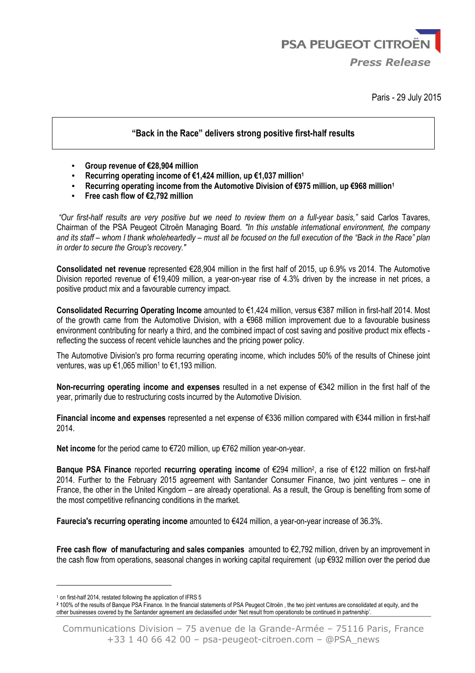

Paris - 29 July 2015

### **"Back in the Race" delivers strong positive first-half results**

- **Group revenue of €28,904 million**
- **Recurring operating income of €1,424 million, up €1,037 million<sup>1</sup>**
- **Recurring operating income from the Automotive Division of €975 million, up €968 million<sup>1</sup>**
- **Free cash flow of €2,792 million**

*"Our first-half results are very positive but we need to review them on a full-year basis,"* said Carlos Tavares, Chairman of the PSA Peugeot Citroën Managing Board*. "In this unstable international environment, the company and its staff – whom I thank wholeheartedly – must all be focused on the full execution of the "Back in the Race" plan in order to secure the Group's recovery."* 

**Consolidated net revenue** represented €28,904 million in the first half of 2015, up 6.9% vs 2014. The Automotive Division reported revenue of €19,409 million, a year-on-year rise of 4.3% driven by the increase in net prices, a positive product mix and a favourable currency impact.

**Consolidated Recurring Operating Income** amounted to €1,424 million, versus €387 million in first-half 2014. Most of the growth came from the Automotive Division, with a  $\epsilon$ 968 million improvement due to a favourable business environment contributing for nearly a third, and the combined impact of cost saving and positive product mix effects reflecting the success of recent vehicle launches and the pricing power policy.

The Automotive Division's pro forma recurring operating income, which includes 50% of the results of Chinese joint ventures, was up €1,065 million<sup>1</sup> to €1,193 million.

**Non-recurring operating income and expenses** resulted in a net expense of €342 million in the first half of the year, primarily due to restructuring costs incurred by the Automotive Division.

**Financial income and expenses** represented a net expense of €336 million compared with €344 million in first-half 2014.

**Net income** for the period came to €720 million, up €762 million year-on-year.

Banque PSA Finance reported recurring operating income of €294 million<sup>2</sup>, a rise of €122 million on first-half 2014. Further to the February 2015 agreement with Santander Consumer Finance, two joint ventures – one in France, the other in the United Kingdom – are already operational. As a result, the Group is benefiting from some of the most competitive refinancing conditions in the market.

**Faurecia's recurring operating income** amounted to €424 million, a year-on-year increase of 36.3%.

**Free cash flow of manufacturing and sales companies** amounted to €2,792 million, driven by an improvement in the cash flow from operations, seasonal changes in working capital requirement (up €932 million over the period due

 $\overline{\phantom{a}}$ 

<sup>&</sup>lt;sup>1</sup> on first-half 2014, restated following the application of IFRS 5

**<sup>2</sup>** 100% of the results of Banque PSA Finance. In the financial statements of PSA Peugeot Citroën , the two joint ventures are consolidated at equity, and the other businesses covered by the Santander agreement are declassified under 'Net result from operationsto be continued in partnership'.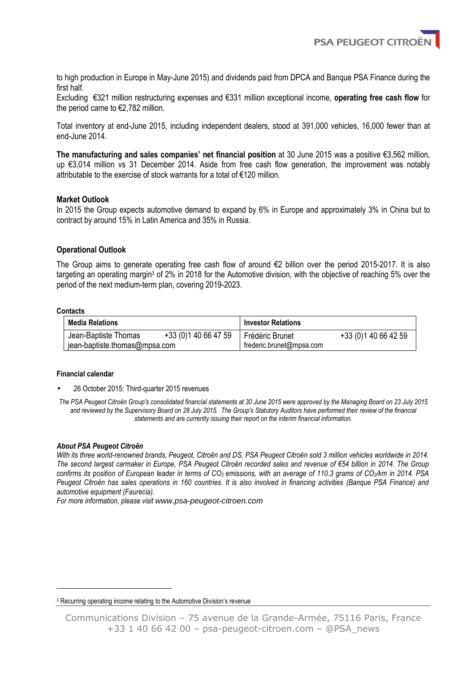**PSA PEUGEOT CITRO** 

to high production in Europe in May-June 2015) and dividends paid from DPCA and Banque PSA Finance during the first half.

Excluding €321 million restructuring expenses and €331 million exceptional income, **operating free cash flow** for the period came to  $\epsilon$ 2,782 million.

Total inventory at end-June 2015, including independent dealers, stood at 391,000 vehicles, 16,000 fewer than at end-June 2014.

**The manufacturing and sales companies' net financial position** at 30 June 2015 was a positive €3,562 million, up €3,014 million vs 31 December 2014. Aside from free cash flow generation, the improvement was notably attributable to the exercise of stock warrants for a total of €120 million.

### **Market Outlook**

In 2015 the Group expects automotive demand to expand by 6% in Europe and approximately 3% in China but to contract by around 15% in Latin America and 35% in Russia.

### **Operational Outlook**

The Group aims to generate operating free cash flow of around €2 billion over the period 2015-2017. It is also targeting an operating margin<sup>3</sup> of 2% in 2018 for the Automotive division, with the objective of reaching 5% over the period of the next medium-term plan, covering 2019-2023.

#### **Contacts**

 $\overline{\phantom{a}}$ 

| Media Relations               |                       | <b>Investor Relations</b> |                      |  |  |  |
|-------------------------------|-----------------------|---------------------------|----------------------|--|--|--|
| Jean-Baptiste Thomas          | +33 (0) 1 40 66 47 59 | Frédéric Brunet           | +33 (0) 140 66 42 59 |  |  |  |
| jean-baptiste.thomas@mpsa.com |                       | frederic.brunet@mpsa.com  |                      |  |  |  |

### **Financial calendar**

• 26 October 2015: Third-quarter 2015 revenues

*The PSA Peugeot Citroën Group's consolidated financial statements at 30 June 2015 were approved by the Managing Board on 23 July 2015 and reviewed by the Supervisory Board on 28 July 2015. The Group's Statutory Auditors have performed their review of the financial statements and are currently issuing their report on the interim financial information.* 

### *About PSA Peugeot Citroën*

*With its three world-renowned brands, Peugeot, Citroën and DS, PSA Peugeot Citroën sold 3 million vehicles worldwide in 2014. The second largest carmaker in Europe, PSA Peugeot Citroën recorded sales and revenue of €54 billion in 2014. The Group confirms its position of European leader in terms of CO2 emissions, with an average of 110.3 grams of CO2/km in 2014. PSA Peugeot Citroën has sales operations in 160 countries. It is also involved in financing activities (Banque PSA Finance) and automotive equipment (Faurecia).* 

*For more information, please visit* www.psa-peugeot-citroen.com

<sup>&</sup>lt;sup>3</sup> Recurring operating income relating to the Automotive Division's revenue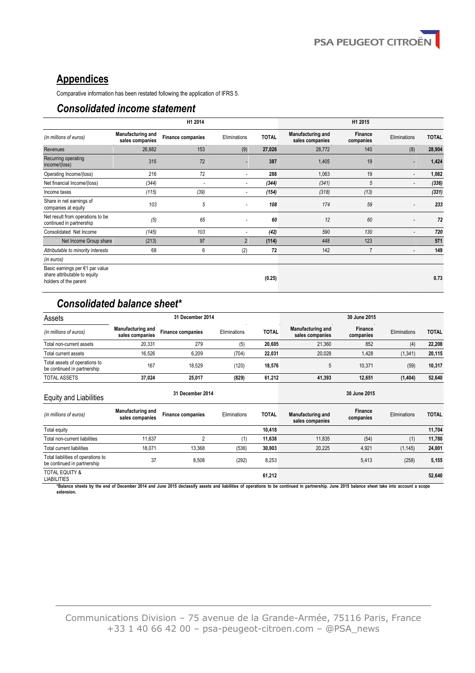# **Appendices**

Comparative information has been restated following the application of IFRS 5.

## *Consolidated income statement*

|                                                                                          |                                      | H1 2014                  |                          |              |                                      | H1 2015                     |                          |              |
|------------------------------------------------------------------------------------------|--------------------------------------|--------------------------|--------------------------|--------------|--------------------------------------|-----------------------------|--------------------------|--------------|
| (in millions of euros)                                                                   | Manufacturing and<br>sales companies | <b>Finance companies</b> | Eliminations             | <b>TOTAL</b> | Manufacturing and<br>sales companies | <b>Finance</b><br>companies | Eliminations             | <b>TOTAL</b> |
| Revenues                                                                                 | 26,882                               | 153                      | (9)                      | 27,026       | 28,772                               | 140                         | (8)                      | 28,904       |
| Recurring operating<br>income/(loss)                                                     | 315                                  | 72                       | ٠                        | 387          | 1,405                                | 19                          | ٠                        | 1,424        |
| Operating Income/(loss)                                                                  | 216                                  | 72                       | ٠                        | 288          | 1,063                                | 19                          | $\overline{\phantom{a}}$ | 1,082        |
| Net financial Income/(loss)                                                              | (344)                                | $\overline{\phantom{a}}$ | ٠                        | (344)        | (341)                                | 5                           | $\overline{\phantom{a}}$ | (336)        |
| Income taxes                                                                             | (115)                                | (39)                     | ٠                        | (154)        | (318)                                | (13)                        |                          | (331)        |
| Share in net earnings of<br>companies at equity                                          | 103                                  | 5                        |                          | 108          | 174                                  | 59                          |                          | 233          |
| Net result from operations to be<br>continued in partnership                             | (5)                                  | 65                       |                          | 60           | 12                                   | 60                          | ٠                        | 72           |
| Consolidated Net Income                                                                  | (145)                                | 103                      | $\overline{\phantom{a}}$ | (42)         | 590                                  | 130                         | $\overline{\phantom{a}}$ | 720          |
| Net Income Group share                                                                   | (213)                                | 97                       | $\overline{2}$           | (114)        | 448                                  | 123                         |                          | 571          |
| Attributable to minority interests                                                       | 68                                   | 6                        | (2)                      | 72           | 142                                  | $\overline{7}$              | $\blacksquare$           | 149          |
| (in euros)                                                                               |                                      |                          |                          |              |                                      |                             |                          |              |
| Basic earnings per €1 par value<br>share attributable to equity<br>holders of the parent |                                      |                          |                          | (0.25)       |                                      |                             |                          | 0.73         |

## *Consolidated balance sheet\**

| Assets                                                       | 31 December 2014                            |                          |              | 30 June 2015 |                                             |                      |              |              |
|--------------------------------------------------------------|---------------------------------------------|--------------------------|--------------|--------------|---------------------------------------------|----------------------|--------------|--------------|
| (in millions of euros)                                       | <b>Manufacturing and</b><br>sales companies | <b>Finance companies</b> | Eliminations | <b>TOTAL</b> | <b>Manufacturing and</b><br>sales companies | Finance<br>companies | Eliminations | <b>TOTAL</b> |
| Total non-current assets                                     | 20.331                                      | 279                      | (5)          | 20.605       | 21.360                                      | 852                  | (4)          | 22,208       |
| Total current assets                                         | 16.526                                      | 6.209                    | (704)        | 22.031       | 20.028                                      | 1,428                | (1, 341)     | 20,115       |
| Total assets of operations to<br>be continued in partnership | 167                                         | 18.529                   | (120)        | 18,576       | b                                           | 10.371               | (59)         | 10,317       |
| <b>TOTAL ASSETS</b>                                          | 37.024                                      | 25.017                   | (829)        | 61.212       | 41.393                                      | 12.651               | (1, 404)     | 52.640       |

# Equity and Liabilities **31 December 2014 30 June 2015**

| (in millions of euros)                                            | Manufacturing and<br>sales companies | <b>Finance companies</b> | Eliminations | <b>TOTAL</b> | Manufacturing and<br>sales companies | Finance<br>companies | <b>Eliminations</b> | <b>TOTAL</b> |
|-------------------------------------------------------------------|--------------------------------------|--------------------------|--------------|--------------|--------------------------------------|----------------------|---------------------|--------------|
| Total equity                                                      |                                      |                          |              | 10.418       |                                      |                      |                     | 11.704       |
| Total non-current liabilities                                     | 11.637                               |                          | (1)          | 11.638       | 11.835                               | (54)                 | (1)                 | 11,780       |
| Total current liabilities                                         | 18.071                               | 13,368                   | (536)        | 30.903       | 20.225                               | 4,921                | (1, 145)            | 24,001       |
| Total liabilities of operations to<br>be continued in partnership | 37                                   | 8,508                    | (292)        | 8,253        |                                      | 5.413                | (258)               | 5,155        |
| <b>TOTAL EQUITY &amp;</b><br><b>LIABILITIES</b>                   |                                      |                          |              | 61,212       |                                      |                      |                     | 52,640       |

**\*Balance sheets by the end of December 2014 and June 2015 declassify assets and liabilities of operations to be continued in partnership. June 2015 balance sheet take into account a scope extension.**